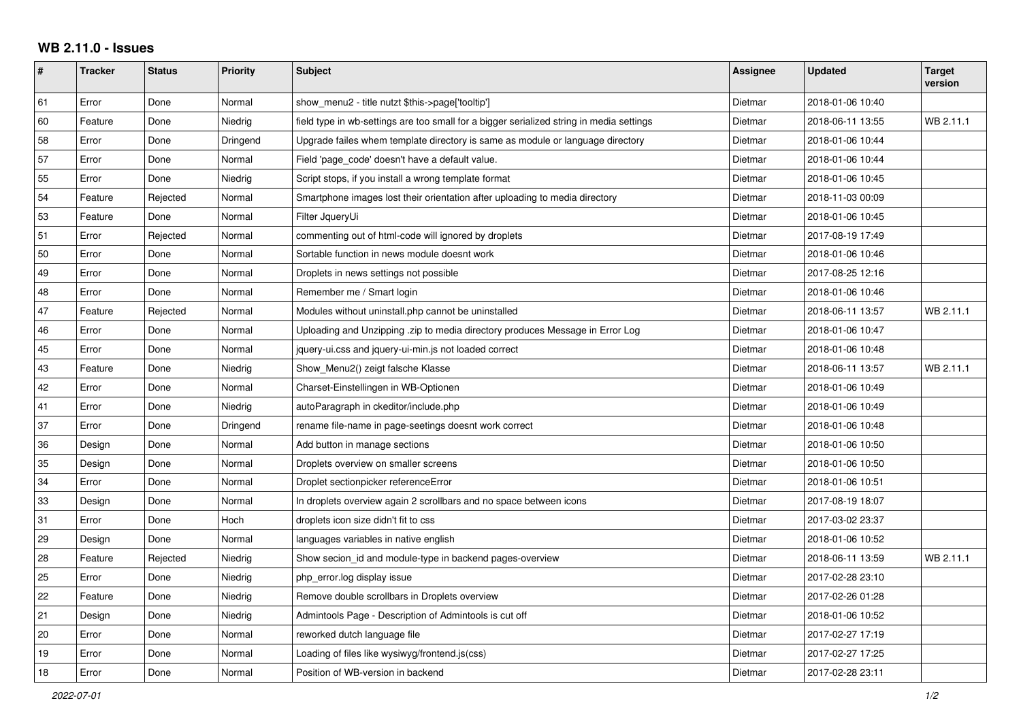## **WB 2.11.0 - Issues**

| $\vert$ # | <b>Tracker</b> | <b>Status</b> | <b>Priority</b> | <b>Subject</b>                                                                           | Assignee | <b>Updated</b>   | <b>Target</b><br>version |
|-----------|----------------|---------------|-----------------|------------------------------------------------------------------------------------------|----------|------------------|--------------------------|
| 61        | Error          | Done          | Normal          | show_menu2 - title nutzt \$this->page['tooltip']                                         | Dietmar  | 2018-01-06 10:40 |                          |
| 60        | Feature        | Done          | Niedrig         | field type in wb-settings are too small for a bigger serialized string in media settings | Dietmar  | 2018-06-11 13:55 | WB 2.11.1                |
| 58        | Error          | Done          | Dringend        | Upgrade failes whem template directory is same as module or language directory           | Dietmar  | 2018-01-06 10:44 |                          |
| 57        | Error          | Done          | Normal          | Field 'page code' doesn't have a default value.                                          | Dietmar  | 2018-01-06 10:44 |                          |
| 55        | Error          | Done          | Niedrig         | Script stops, if you install a wrong template format                                     | Dietmar  | 2018-01-06 10:45 |                          |
| 54        | Feature        | Rejected      | Normal          | Smartphone images lost their orientation after uploading to media directory              | Dietmar  | 2018-11-03 00:09 |                          |
| 53        | Feature        | Done          | Normal          | Filter JqueryUi                                                                          | Dietmar  | 2018-01-06 10:45 |                          |
| 51        | Error          | Rejected      | Normal          | commenting out of html-code will ignored by droplets                                     | Dietmar  | 2017-08-19 17:49 |                          |
| 50        | Error          | Done          | Normal          | Sortable function in news module doesnt work                                             | Dietmar  | 2018-01-06 10:46 |                          |
| 49        | Error          | Done          | Normal          | Droplets in news settings not possible                                                   | Dietmar  | 2017-08-25 12:16 |                          |
| 48        | Error          | Done          | Normal          | Remember me / Smart login                                                                | Dietmar  | 2018-01-06 10:46 |                          |
| 47        | Feature        | Rejected      | Normal          | Modules without uninstall.php cannot be uninstalled                                      | Dietmar  | 2018-06-11 13:57 | WB 2.11.1                |
| 46        | Error          | Done          | Normal          | Uploading and Unzipping .zip to media directory produces Message in Error Log            | Dietmar  | 2018-01-06 10:47 |                          |
| 45        | Error          | Done          | Normal          | jquery-ui.css and jquery-ui-min.js not loaded correct                                    | Dietmar  | 2018-01-06 10:48 |                          |
| 43        | Feature        | Done          | Niedrig         | Show Menu2() zeigt falsche Klasse                                                        | Dietmar  | 2018-06-11 13:57 | WB 2.11.1                |
| 42        | Error          | Done          | Normal          | Charset-Einstellingen in WB-Optionen                                                     | Dietmar  | 2018-01-06 10:49 |                          |
| 41        | Error          | Done          | Niedrig         | autoParagraph in ckeditor/include.php                                                    | Dietmar  | 2018-01-06 10:49 |                          |
| 37        | Error          | Done          | Dringend        | rename file-name in page-seetings doesnt work correct                                    | Dietmar  | 2018-01-06 10:48 |                          |
| 36        | Design         | Done          | Normal          | Add button in manage sections                                                            | Dietmar  | 2018-01-06 10:50 |                          |
| 35        | Design         | Done          | Normal          | Droplets overview on smaller screens                                                     | Dietmar  | 2018-01-06 10:50 |                          |
| 34        | Error          | Done          | Normal          | Droplet sectionpicker referenceError                                                     | Dietmar  | 2018-01-06 10:51 |                          |
| 33        | Design         | Done          | Normal          | In droplets overview again 2 scrollbars and no space between icons                       | Dietmar  | 2017-08-19 18:07 |                          |
| 31        | Error          | Done          | Hoch            | droplets icon size didn't fit to css                                                     | Dietmar  | 2017-03-02 23:37 |                          |
| 29        | Design         | Done          | Normal          | languages variables in native english                                                    | Dietmar  | 2018-01-06 10:52 |                          |
| 28        | Feature        | Rejected      | Niedrig         | Show secion_id and module-type in backend pages-overview                                 | Dietmar  | 2018-06-11 13:59 | WB 2.11.1                |
| 25        | Error          | Done          | Niedrig         | php_error.log display issue                                                              | Dietmar  | 2017-02-28 23:10 |                          |
| 22        | Feature        | Done          | Niedrig         | Remove double scrollbars in Droplets overview                                            | Dietmar  | 2017-02-26 01:28 |                          |
| 21        | Design         | Done          | Niedrig         | Admintools Page - Description of Admintools is cut off                                   | Dietmar  | 2018-01-06 10:52 |                          |
| 20        | Error          | Done          | Normal          | reworked dutch language file                                                             | Dietmar  | 2017-02-27 17:19 |                          |
| 19        | Error          | Done          | Normal          | Loading of files like wysiwyg/frontend.js(css)                                           | Dietmar  | 2017-02-27 17:25 |                          |
| 18        | Error          | Done          | Normal          | Position of WB-version in backend                                                        | Dietmar  | 2017-02-28 23:11 |                          |